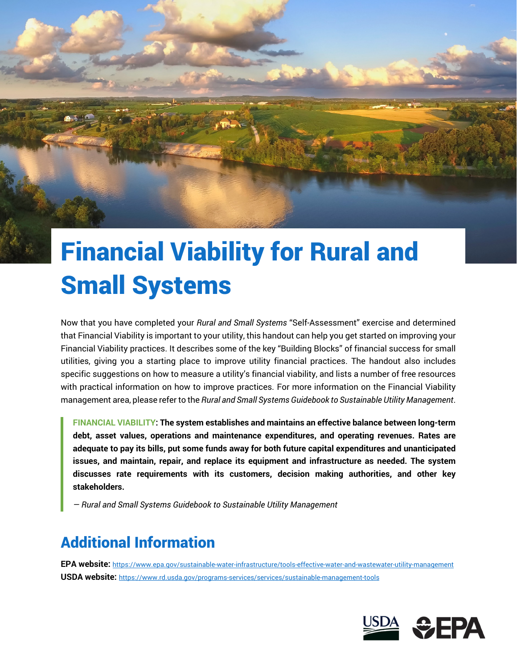# Financial Viability for Rural and Small Systems

Now that you have completed your *Rural and Small Systems* "Self-Assessment" exercise and determined that Financial Viability is important to your utility, this handout can help you get started on improving your Financial Viability practices. It describes some of the key "Building Blocks" of financial success for small utilities, giving you a starting place to improve utility financial practices. The handout also includes specific suggestions on how to measure a utility's financial viability, and lists a number of free resources with practical information on how to improve practices. For more information on the Financial Viability management area, please refer to the *Rural and Small Systems Guidebook to Sustainable Utility Management*.

**FINANCIAL VIABILITY: The system establishes and maintains an effective balance between long-term debt, asset values, operations and maintenance expenditures, and operating revenues. Rates are adequate to pay its bills, put some funds away for both future capital expenditures and unanticipated issues, and maintain, repair, and replace its equipment and infrastructure as needed. The system discusses rate requirements with its customers, decision making authorities, and other key stakeholders.** 

*— Rural and Small Systems Guidebook to Sustainable Utility Management* 

## Additional Information

 **USDA website:** https://www.rd.usda.gov/programs-services/services/sustainable-management-tools **EPA website:** https://www.epa.gov/sustainable-water-infrastructure/tools-effective-water-and-wastewater-utility-management

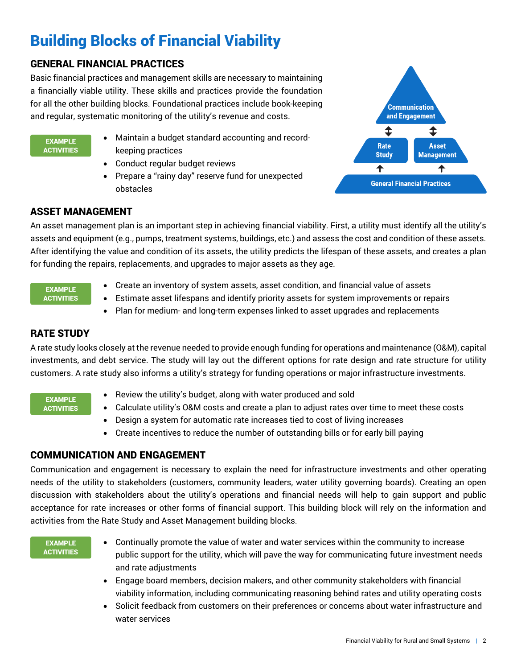## Building Blocks of Financial Viability

## GENERAL FINANCIAL PRACTICES

Basic financial practices and management skills are necessary to maintaining a financially viable utility. These skills and practices provide the foundation for all the other building blocks. Foundational practices include book-keeping and regular, systematic monitoring of the utility's revenue and costs.

#### EXAMPLE **ACTIVITIES**

- Maintain a budget standard accounting and recordkeeping practices
- Conduct regular budget reviews
- Prepare a "rainy day" reserve fund for unexpected obstacles



## ASSET MANAGEMENT

An asset management plan is an important step in achieving financial viability. First, a utility must identify all the utility's assets and equipment (e.g., pumps, treatment systems, buildings, etc.) and assess the cost and condition of these assets. After identifying the value and condition of its assets, the utility predicts the lifespan of these assets, and creates a plan for funding the repairs, replacements, and upgrades to major assets as they age.

#### EXAMPLE **ACTIVITIES**

- Create an inventory of system assets, asset condition, and financial value of assets
- Estimate asset lifespans and identify priority assets for system improvements or repairs
- Plan for medium- and long-term expenses linked to asset upgrades and replacements

## RATE STUDY

A rate study looks closely at the revenue needed to provide enough funding for operations and maintenance (O&M), capital investments, and debt service. The study will lay out the different options for rate design and rate structure for utility customers. A rate study also informs a utility's strategy for funding operations or major infrastructure investments.

#### EXAMPLE **ACTIVITIES**

- Review the utility's budget, along with water produced and sold
- Calculate utility's O&M costs and create a plan to adjust rates over time to meet these costs
- Design a system for automatic rate increases tied to cost of living increases
- Create incentives to reduce the number of outstanding bills or for early bill paying

## COMMUNICATION AND ENGAGEMENT

 activities from the Rate Study and Asset Management building blocks. Communication and engagement is necessary to explain the need for infrastructure investments and other operating needs of the utility to stakeholders (customers, community leaders, water utility governing boards). Creating an open discussion with stakeholders about the utility's operations and financial needs will help to gain support and public acceptance for rate increases or other forms of financial support. This building block will rely on the information and

#### EXAMPLE **ACTIVITIES**

- Continually promote the value of water and water services within the community to increase public support for the utility, which will pave the way for communicating future investment needs and rate adjustments
- Engage board members, decision makers, and other community stakeholders with financial viability information, including communicating reasoning behind rates and utility operating costs
- Solicit feedback from customers on their preferences or concerns about water infrastructure and water services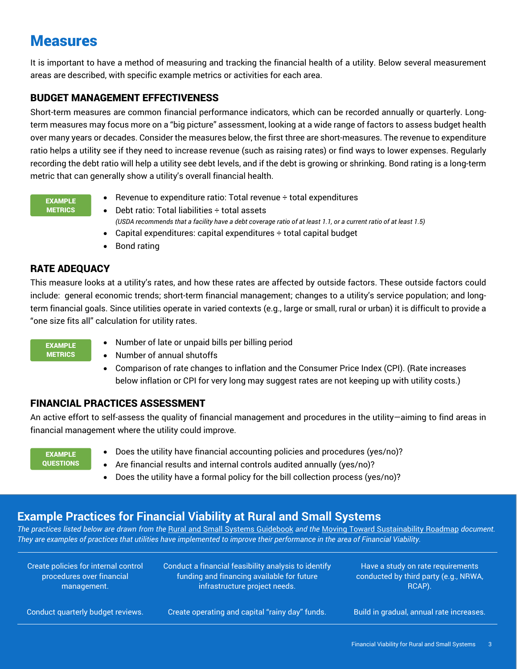## Measures

It is important to have a method of measuring and tracking the financial health of a utility. Below several measurement areas are described, with specific example metrics or activities for each area.

## BUDGET MANAGEMENT EFFECTIVENESS

 ratio helps a utility see if they need to increase revenue (such as raising rates) or find ways to lower expenses. Regularly recording the debt ratio will help a utility see debt levels, and if the debt is growing or shrinking. Bond rating is a long-term metric that can generally show a utility's overall financial health. Short-term measures are common financial performance indicators, which can be recorded annually or quarterly. Longterm measures may focus more on a "big picture" assessment, looking at a wide range of factors to assess budget health over many years or decades. Consider the measures below, the first three are short-measures. The revenue to expenditure

#### EXAMPLE **METRICS**

- **•** Revenue to expenditure ratio: Total revenue  $\div$  total expenditures
- Debt ratio: Total liabilities ÷ total assets *(USDA recommends that a facility have a debt coverage ratio of at least 1.1, or a current ratio of at least 1.5)*
- Capital expenditures: capital expenditures  $\div$  total capital budget
- Bond rating

## RATE ADEQUACY

This measure looks at a utility's rates, and how these rates are affected by outside factors. These outside factors could include: general economic trends; short-term financial management; changes to a utility's service population; and longterm financial goals. Since utilities operate in varied contexts (e.g., large or small, rural or urban) it is difficult to provide a "one size fits all" calculation for utility rates.

#### EXAMPLE **METRICS**

- Number of late or unpaid bills per billing period
- Number of annual shutoffs
- Comparison of rate changes to inflation and the Consumer Price Index (CPI). (Rate increases below inflation or CPI for very long may suggest rates are not keeping up with utility costs.)

## FINANCIAL PRACTICES ASSESSMENT

An active effort to self-assess the quality of financial management and procedures in the utility—aiming to find areas in financial management where the utility could improve.

| <b>EXAMPLE</b>   |
|------------------|
| <b>QUESTIONS</b> |

- Does the utility have financial accounting policies and procedures (yes/no)?
- Are financial results and internal controls audited annually (yes/no)?
- Does the utility have a formal policy for the bill collection process (yes/no)?

## **Example Practices for Financial Viability at Rural and Small Systems**

*The practices listed below are drawn from the* Rural and Small Systems Guidebook *and the* Moving Toward Sustainability Roadmap *document. They are examples of practices that utilities have implemented to improve their performance in the area of Financial Viability.* 

Create policies for internal control Conduct a financial feasibility analysis to identify Have a study on rate requirements procedures over financial funding and financing available for future conducted by third party (e.g., NRWA, management. **infrastructure project needs.** Infrastructure project needs.

Conduct quarterly budget reviews. Create operating and capital "rainy day" funds. Build in gradual, annual rate increases.